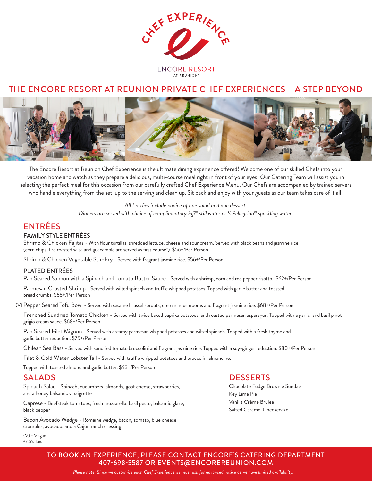

## THE ENCORE RESORT AT REUNION PRIVATE CHEF EXPERIENCES – A STEP BEYOND



The Encore Resort at Reunion Chef Experience is the ultimate dining experience offered! Welcome one of our skilled Chefs into your vacation home and watch as they prepare a delicious, multi-course meal right in front of your eyes! Our Catering Team will assist you in selecting the perfect meal for this occasion from our carefully crafted Chef Experience Menu. Our Chefs are accompanied by trained servers who handle everything from the set-up to the serving and clean up. Sit back and enjoy with your guests as our team takes care of it all!

> *All Entrées include choice of one salad and one dessert. Dinners are served with choice of complimentary Fiji® still water or S.Pellegrino® sparkling water.*

## ENTRÉES

#### FAMILY STYLE ENTRÉES

Shrimp & Chicken Fajitas - With flour tortillas, shredded lettuce, cheese and sour cream. Served with black beans and jasmine rice (corn chips, fire roasted salsa and guacamole are served as first course\*) \$56+/Per Person

Shrimp & Chicken Vegetable Stir-Fry - Served with fragrant jasmine rice. \$56+/Per Person

#### PLATED ENTRÉES

Pan Seared Salmon with a Spinach and Tomato Butter Sauce - Served with a shrimp, corn and red pepper risotto. \$62+/Per Person

Parmesan Crusted Shrimp - Served with wilted spinach and truffle whipped potatoes. Topped with garlic butter and toasted bread crumbs. \$68+/Per Person

(V) Pepper Seared Tofu Bowl - Served with sesame brussel sprouts, cremini mushrooms and fragrant jasmine rice. \$68+/Per Person

Frenched Sundried Tomato Chicken - Served with twice baked paprika potatoes, and roasted parmesan asparagus. Topped with a garlic and basil pinot grigio cream sauce. \$68+/Per Person

Pan Seared Filet Mignon - Served with creamy parmesan whipped potatoes and wilted spinach. Topped with a fresh thyme and garlic butter reduction. \$75+/Per Person

Chilean Sea Bass - Served with sundried tomato broccolini and fragrant jasmine rice. Topped with a soy-ginger reduction. \$80+/Per Person

Filet & Cold Water Lobster Tail - Served with truffle whipped potatoes and broccolini almandine.

Topped with toasted almond and garlic butter. \$93+/Per Person

### SALADS

Spinach Salad - Spinach, cucumbers, almonds, goat cheese, strawberries, and a honey balsamic vinaigrette

Caprese - Beefsteak tomatoes, fresh mozzarella, basil pesto, balsamic glaze, black pepper

Bacon Avocado Wedge - Romaine wedge, bacon, tomato, blue cheese crumbles, avocado, and a Cajun ranch dressing

(V) - Vegan +7.5% Tax.

#### **DESSERTS**

Chocolate Fudge Brownie Sundae Key Lime Pie Vanilla Crème Brulee Salted Caramel Cheesecake

TO BOOK AN EXPERIENCE, PLEASE CONTACT ENCORE'S CATERING DEPARTMENT 407-698-5587 OR EVENTS@ENCOREREUNION.COM

*Please note: Since we customize each Chef Experience we must ask for advanced notice as we have limited availability.*